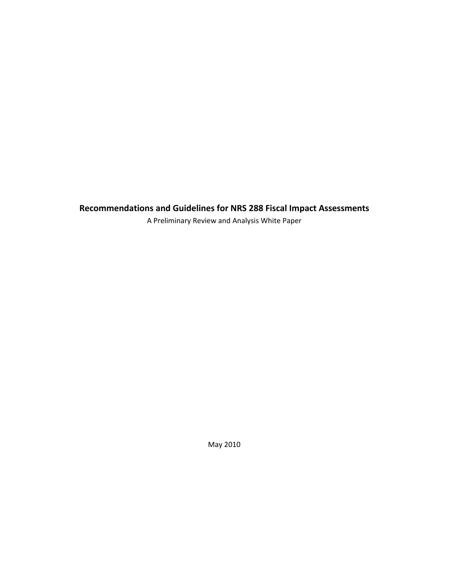**Recommendations and Guidelines for NRS 288 Fiscal Impact Assessments**

A Preliminary Review and Analysis White Paper

May 2010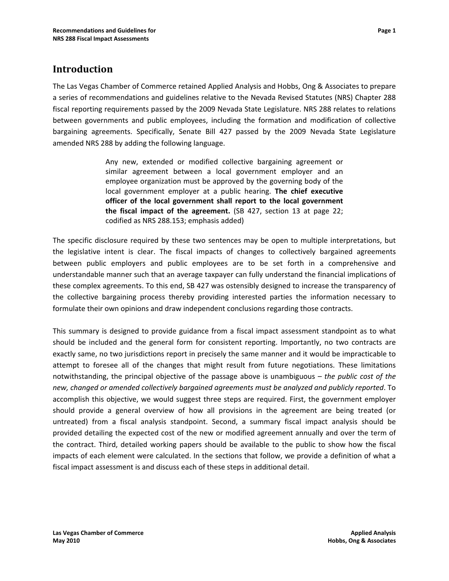# **Introduction**

The Las Vegas Chamber of Commerce retained Applied Analysis and Hobbs, Ong & Associates to prepare a series of recommendations and guidelines relative to the Nevada Revised Statutes (NRS) Chapter 288 fiscal reporting requirements passed by the 2009 Nevada State Legislature. NRS 288 relates to relations between governments and public employees, including the formation and modification of collective bargaining agreements. Specifically, Senate Bill 427 passed by the 2009 Nevada State Legislature amended NRS 288 by adding the following language.

> Any new, extended or modified collective bargaining agreement or similar agreement between a local government employer and an employee organization must be approved by the governing body of the local government employer at a public hearing. **The chief executive officer of the local government shall report to the local government the fiscal impact of the agreement.** (SB 427, section 13 at page 22; codified as NRS 288.153; emphasis added)

The specific disclosure required by these two sentences may be open to multiple interpretations, but the legislative intent is clear. The fiscal impacts of changes to collectively bargained agreements between public employers and public employees are to be set forth in a comprehensive and understandable manner such that an average taxpayer can fully understand the financial implications of these complex agreements. To this end, SB 427 was ostensibly designed to increase the transparency of the collective bargaining process thereby providing interested parties the information necessary to formulate their own opinions and draw independent conclusions regarding those contracts.

This summary is designed to provide guidance from a fiscal impact assessment standpoint as to what should be included and the general form for consistent reporting. Importantly, no two contracts are exactly same, no two jurisdictions report in precisely the same manner and it would be impracticable to attempt to foresee all of the changes that might result from future negotiations. These limitations notwithstanding, the principal objective of the passage above is unambiguous – *the public cost of the new, changed or amended collectively bargained agreements must be analyzed and publicly reported*. To accomplish this objective, we would suggest three steps are required. First, the government employer should provide a general overview of how all provisions in the agreement are being treated (or untreated) from a fiscal analysis standpoint. Second, a summary fiscal impact analysis should be provided detailing the expected cost of the new or modified agreement annually and over the term of the contract. Third, detailed working papers should be available to the public to show how the fiscal impacts of each element were calculated. In the sections that follow, we provide a definition of what a fiscal impact assessment is and discuss each of these steps in additional detail.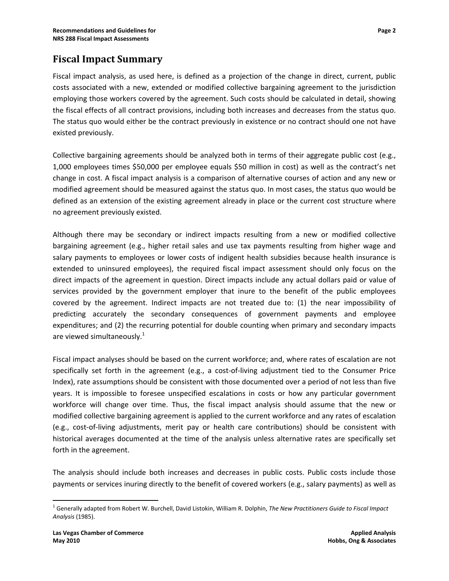Fiscal impact analysis, as used here, is defined as a projection of the change in direct, current, public costs associated with a new, extended or modified collective bargaining agreement to the jurisdiction employing those workers covered by the agreement. Such costs should be calculated in detail, showing the fiscal effects of all contract provisions, including both increases and decreases from the status quo. The status quo would either be the contract previously in existence or no contract should one not have existed previously.

Collective bargaining agreements should be analyzed both in terms of their aggregate public cost (e.g., 1,000 employees times \$50,000 per employee equals \$50 million in cost) as well as the contract's net change in cost. A fiscal impact analysis is a comparison of alternative courses of action and any new or modified agreement should be measured against the status quo. In most cases, the status quo would be defined as an extension of the existing agreement already in place or the current cost structure where no agreement previously existed.

Although there may be secondary or indirect impacts resulting from a new or modified collective bargaining agreement (e.g., higher retail sales and use tax payments resulting from higher wage and salary payments to employees or lower costs of indigent health subsidies because health insurance is extended to uninsured employees), the required fiscal impact assessment should only focus on the direct impacts of the agreement in question. Direct impacts include any actual dollars paid or value of services provided by the government employer that inure to the benefit of the public employees covered by the agreement. Indirect impacts are not treated due to: (1) the near impossibility of predicting accurately the secondary consequences of government payments and employee expenditures; and (2) the recurring potential for double counting when primary and secondary impacts are viewed simultaneously.<sup>1</sup>

Fiscal impact analyses should be based on the current workforce; and, where rates of escalation are not specifically set forth in the agreement (e.g., a cost-of-living adjustment tied to the Consumer Price Index), rate assumptions should be consistent with those documented over a period of not less than five years. It is impossible to foresee unspecified escalations in costs or how any particular government workforce will change over time. Thus, the fiscal impact analysis should assume that the new or modified collective bargaining agreement is applied to the current workforce and any rates of escalation (e.g., cost‐of‐living adjustments, merit pay or health care contributions) should be consistent with historical averages documented at the time of the analysis unless alternative rates are specifically set forth in the agreement.

The analysis should include both increases and decreases in public costs. Public costs include those payments or services inuring directly to the benefit of covered workers (e.g., salary payments) as well as

 <sup>1</sup> Generally adapted from Robert W. Burchell, David Listokin, William R. Dolphin, *The New Practitioners Guide to Fiscal Impact Analysis* (1985).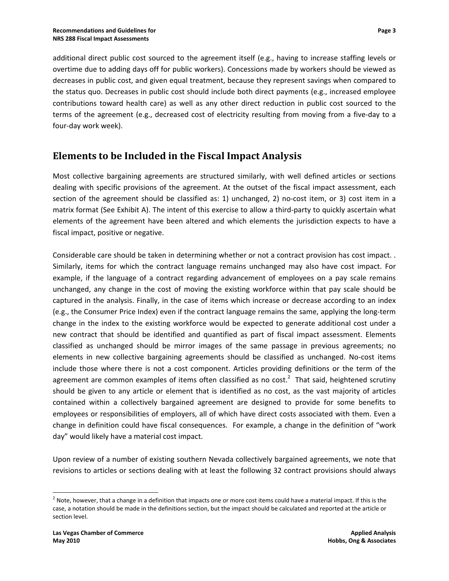additional direct public cost sourced to the agreement itself (e.g., having to increase staffing levels or overtime due to adding days off for public workers). Concessions made by workers should be viewed as decreases in public cost, and given equal treatment, because they represent savings when compared to the status quo. Decreases in public cost should include both direct payments (e.g., increased employee contributions toward health care) as well as any other direct reduction in public cost sourced to the terms of the agreement (e.g., decreased cost of electricity resulting from moving from a five-day to a four‐day work week).

# **Elements to be Included in the Fiscal Impact Analysis**

Most collective bargaining agreements are structured similarly, with well defined articles or sections dealing with specific provisions of the agreement. At the outset of the fiscal impact assessment, each section of the agreement should be classified as: 1) unchanged, 2) no-cost item, or 3) cost item in a matrix format (See Exhibit A). The intent of this exercise to allow a third-party to quickly ascertain what elements of the agreement have been altered and which elements the jurisdiction expects to have a fiscal impact, positive or negative.

Considerable care should be taken in determining whether or not a contract provision has cost impact. . Similarly, items for which the contract language remains unchanged may also have cost impact. For example, if the language of a contract regarding advancement of employees on a pay scale remains unchanged, any change in the cost of moving the existing workforce within that pay scale should be captured in the analysis. Finally, in the case of items which increase or decrease according to an index (e.g., the Consumer Price Index) even if the contract language remains the same, applying the long‐term change in the index to the existing workforce would be expected to generate additional cost under a new contract that should be identified and quantified as part of fiscal impact assessment. Elements classified as unchanged should be mirror images of the same passage in previous agreements; no elements in new collective bargaining agreements should be classified as unchanged. No‐cost items include those where there is not a cost component. Articles providing definitions or the term of the agreement are common examples of items often classified as no cost.<sup>2</sup> That said, heightened scrutiny should be given to any article or element that is identified as no cost, as the vast majority of articles contained within a collectively bargained agreement are designed to provide for some benefits to employees or responsibilities of employers, all of which have direct costs associated with them. Even a change in definition could have fiscal consequences. For example, a change in the definition of "work day" would likely have a material cost impact.

Upon review of a number of existing southern Nevada collectively bargained agreements, we note that revisions to articles or sections dealing with at least the following 32 contract provisions should always

 $2$  Note, however, that a change in a definition that impacts one or more cost items could have a material impact. If this is the case, a notation should be made in the definitions section, but the impact should be calculated and reported at the article or section level.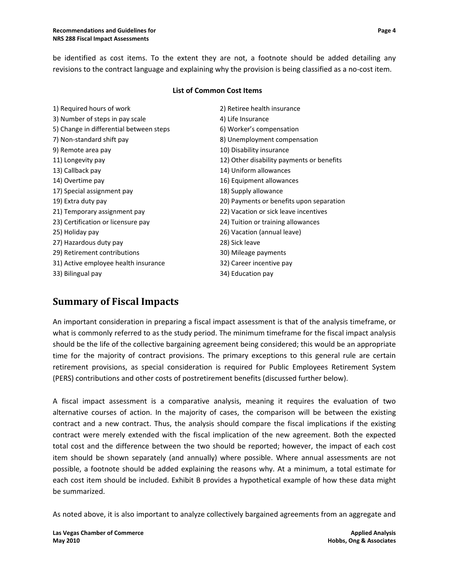be identified as cost items. To the extent they are not, a footnote should be added detailing any revisions to the contract language and explaining why the provision is being classified as a no‐cost item.

#### **List of Common Cost Items**

| 1) Required hours of work               | 2) Retiree health insurance               |
|-----------------------------------------|-------------------------------------------|
| 3) Number of steps in pay scale         | 4) Life Insurance                         |
| 5) Change in differential between steps | 6) Worker's compensation                  |
| 7) Non-standard shift pay               | 8) Unemployment compensation              |
| 9) Remote area pay                      | 10) Disability insurance                  |
| 11) Longevity pay                       | 12) Other disability payments or benefits |
| 13) Callback pay                        | 14) Uniform allowances                    |
| 14) Overtime pay                        | 16) Equipment allowances                  |
| 17) Special assignment pay              | 18) Supply allowance                      |
| 19) Extra duty pay                      | 20) Payments or benefits upon separation  |
| 21) Temporary assignment pay            | 22) Vacation or sick leave incentives     |
| 23) Certification or licensure pay      | 24) Tuition or training allowances        |
| 25) Holiday pay                         | 26) Vacation (annual leave)               |
| 27) Hazardous duty pay                  | 28) Sick leave                            |
| 29) Retirement contributions            | 30) Mileage payments                      |
| 31) Active employee health insurance    | 32) Career incentive pay                  |
| 33) Bilingual pay                       | 34) Education pay                         |
|                                         |                                           |

# **Summary of Fiscal Impacts**

An important consideration in preparing a fiscal impact assessment is that of the analysis timeframe, or what is commonly referred to as the study period. The minimum timeframe for the fiscal impact analysis should be the life of the collective bargaining agreement being considered; this would be an appropriate time for the majority of contract provisions. The primary exceptions to this general rule are certain retirement provisions, as special consideration is required for Public Employees Retirement System (PERS) contributions and other costs of postretirement benefits (discussed further below).

A fiscal impact assessment is a comparative analysis, meaning it requires the evaluation of two alternative courses of action. In the majority of cases, the comparison will be between the existing contract and a new contract. Thus, the analysis should compare the fiscal implications if the existing contract were merely extended with the fiscal implication of the new agreement. Both the expected total cost and the difference between the two should be reported; however, the impact of each cost item should be shown separately (and annually) where possible. Where annual assessments are not possible, a footnote should be added explaining the reasons why. At a minimum, a total estimate for each cost item should be included. Exhibit B provides a hypothetical example of how these data might be summarized.

As noted above, it is also important to analyze collectively bargained agreements from an aggregate and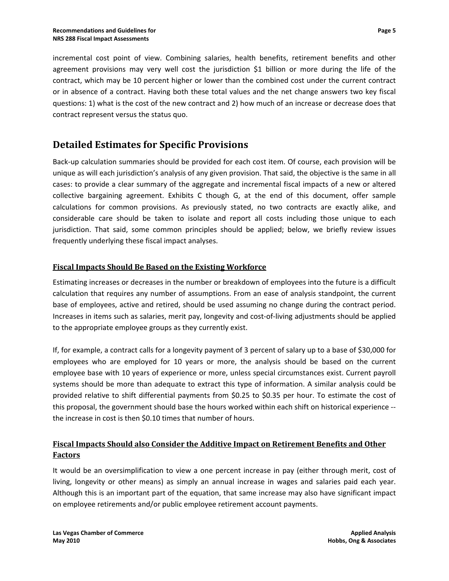incremental cost point of view. Combining salaries, health benefits, retirement benefits and other agreement provisions may very well cost the jurisdiction \$1 billion or more during the life of the contract, which may be 10 percent higher or lower than the combined cost under the current contract or in absence of a contract. Having both these total values and the net change answers two key fiscal questions: 1) what is the cost of the new contract and 2) how much of an increase or decrease does that contract represent versus the status quo.

# **Detailed Estimates for Specific Provisions**

Back-up calculation summaries should be provided for each cost item. Of course, each provision will be unique as will each jurisdiction's analysis of any given provision. That said, the objective is the same in all cases: to provide a clear summary of the aggregate and incremental fiscal impacts of a new or altered collective bargaining agreement. Exhibits C though G, at the end of this document, offer sample calculations for common provisions. As previously stated, no two contracts are exactly alike, and considerable care should be taken to isolate and report all costs including those unique to each jurisdiction. That said, some common principles should be applied; below, we briefly review issues frequently underlying these fiscal impact analyses.

### **Fiscal Impacts Should Be Based on the Existing Workforce**

Estimating increases or decreases in the number or breakdown of employees into the future is a difficult calculation that requires any number of assumptions. From an ease of analysis standpoint, the current base of employees, active and retired, should be used assuming no change during the contract period. Increases in items such as salaries, merit pay, longevity and cost‐of‐living adjustments should be applied to the appropriate employee groups as they currently exist.

If, for example, a contract calls for a longevity payment of 3 percent of salary up to a base of \$30,000 for employees who are employed for 10 years or more, the analysis should be based on the current employee base with 10 years of experience or more, unless special circumstances exist. Current payroll systems should be more than adequate to extract this type of information. A similar analysis could be provided relative to shift differential payments from \$0.25 to \$0.35 per hour. To estimate the cost of this proposal, the government should base the hours worked within each shift on historical experience ‐‐ the increase in cost is then \$0.10 times that number of hours.

### **Fiscal Impacts Should also Consider the Additive Impact on Retirement Benefits and Other Factors**

It would be an oversimplification to view a one percent increase in pay (either through merit, cost of living, longevity or other means) as simply an annual increase in wages and salaries paid each year. Although this is an important part of the equation, that same increase may also have significant impact on employee retirements and/or public employee retirement account payments.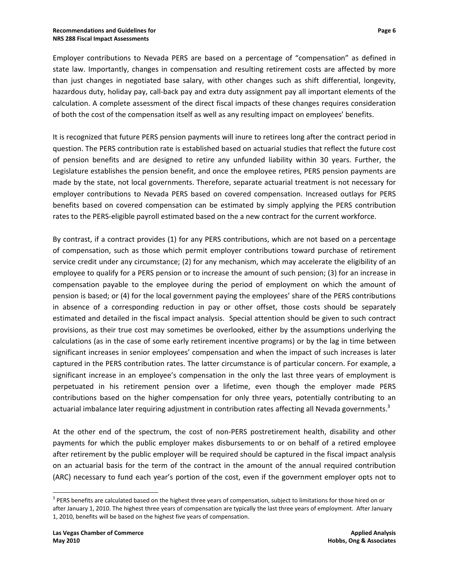Employer contributions to Nevada PERS are based on a percentage of "compensation" as defined in state law. Importantly, changes in compensation and resulting retirement costs are affected by more than just changes in negotiated base salary, with other changes such as shift differential, longevity, hazardous duty, holiday pay, call‐back pay and extra duty assignment pay all important elements of the calculation. A complete assessment of the direct fiscal impacts of these changes requires consideration of both the cost of the compensation itself as well as any resulting impact on employees' benefits.

It is recognized that future PERS pension payments will inure to retirees long after the contract period in question. The PERS contribution rate is established based on actuarial studies that reflect the future cost of pension benefits and are designed to retire any unfunded liability within 30 years. Further, the Legislature establishes the pension benefit, and once the employee retires, PERS pension payments are made by the state, not local governments. Therefore, separate actuarial treatment is not necessary for employer contributions to Nevada PERS based on covered compensation. Increased outlays for PERS benefits based on covered compensation can be estimated by simply applying the PERS contribution rates to the PERS‐eligible payroll estimated based on the a new contract for the current workforce.

By contrast, if a contract provides (1) for any PERS contributions, which are not based on a percentage of compensation, such as those which permit employer contributions toward purchase of retirement service credit under any circumstance; (2) for any mechanism, which may accelerate the eligibility of an employee to qualify for a PERS pension or to increase the amount of such pension; (3) for an increase in compensation payable to the employee during the period of employment on which the amount of pension is based; or (4) for the local government paying the employees' share of the PERS contributions in absence of a corresponding reduction in pay or other offset, those costs should be separately estimated and detailed in the fiscal impact analysis. Special attention should be given to such contract provisions, as their true cost may sometimes be overlooked, either by the assumptions underlying the calculations (as in the case of some early retirement incentive programs) or by the lag in time between significant increases in senior employees' compensation and when the impact of such increases is later captured in the PERS contribution rates. The latter circumstance is of particular concern. For example, a significant increase in an employee's compensation in the only the last three years of employment is perpetuated in his retirement pension over a lifetime, even though the employer made PERS contributions based on the higher compensation for only three years, potentially contributing to an actuarial imbalance later requiring adjustment in contribution rates affecting all Nevada governments.<sup>3</sup>

At the other end of the spectrum, the cost of non-PERS postretirement health, disability and other payments for which the public employer makes disbursements to or on behalf of a retired employee after retirement by the public employer will be required should be captured in the fiscal impact analysis on an actuarial basis for the term of the contract in the amount of the annual required contribution (ARC) necessary to fund each year's portion of the cost, even if the government employer opts not to

<sup>&</sup>lt;sup>3</sup> PERS benefits are calculated based on the highest three years of compensation, subject to limitations for those hired on or after January 1, 2010. The highest three years of compensation are typically the last three years of employment. After January 1, 2010, benefits will be based on the highest five years of compensation.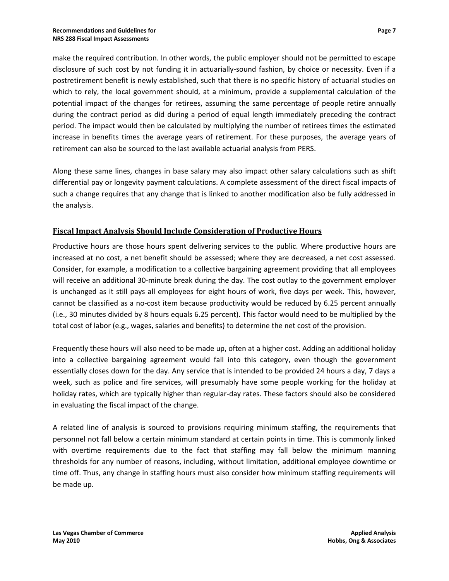make the required contribution. In other words, the public employer should not be permitted to escape disclosure of such cost by not funding it in actuarially‐sound fashion, by choice or necessity. Even if a postretirement benefit is newly established, such that there is no specific history of actuarial studies on which to rely, the local government should, at a minimum, provide a supplemental calculation of the potential impact of the changes for retirees, assuming the same percentage of people retire annually during the contract period as did during a period of equal length immediately preceding the contract period. The impact would then be calculated by multiplying the number of retirees times the estimated increase in benefits times the average years of retirement. For these purposes, the average years of retirement can also be sourced to the last available actuarial analysis from PERS.

Along these same lines, changes in base salary may also impact other salary calculations such as shift differential pay or longevity payment calculations. A complete assessment of the direct fiscal impacts of such a change requires that any change that is linked to another modification also be fully addressed in the analysis.

#### **Fiscal Impact Analysis Should Include Consideration of Productive Hours**

Productive hours are those hours spent delivering services to the public. Where productive hours are increased at no cost, a net benefit should be assessed; where they are decreased, a net cost assessed. Consider, for example, a modification to a collective bargaining agreement providing that all employees will receive an additional 30-minute break during the day. The cost outlay to the government employer is unchanged as it still pays all employees for eight hours of work, five days per week. This, however, cannot be classified as a no-cost item because productivity would be reduced by 6.25 percent annually (i.e., 30 minutes divided by 8 hours equals 6.25 percent). This factor would need to be multiplied by the total cost of labor (e.g., wages, salaries and benefits) to determine the net cost of the provision.

Frequently these hours will also need to be made up, often at a higher cost. Adding an additional holiday into a collective bargaining agreement would fall into this category, even though the government essentially closes down for the day. Any service that is intended to be provided 24 hours a day, 7 days a week, such as police and fire services, will presumably have some people working for the holiday at holiday rates, which are typically higher than regular‐day rates. These factors should also be considered in evaluating the fiscal impact of the change.

A related line of analysis is sourced to provisions requiring minimum staffing, the requirements that personnel not fall below a certain minimum standard at certain points in time. This is commonly linked with overtime requirements due to the fact that staffing may fall below the minimum manning thresholds for any number of reasons, including, without limitation, additional employee downtime or time off. Thus, any change in staffing hours must also consider how minimum staffing requirements will be made up.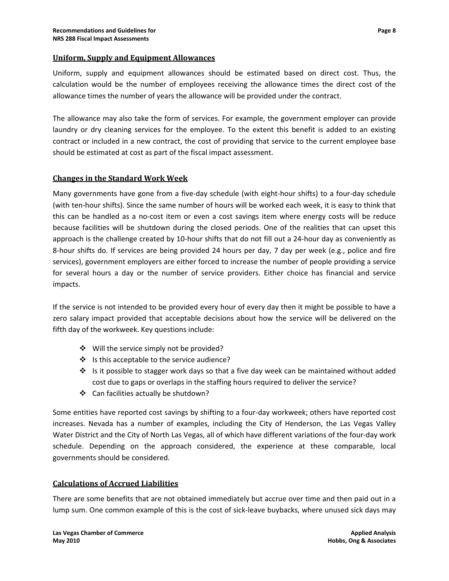#### **Uniform, Supply and Equipment Allowances**

Uniform, supply and equipment allowances should be estimated based on direct cost. Thus, the calculation would be the number of employees receiving the allowance times the direct cost of the allowance times the number of years the allowance will be provided under the contract.

The allowance may also take the form of services. For example, the government employer can provide laundry or dry cleaning services for the employee. To the extent this benefit is added to an existing contract or included in a new contract, the cost of providing that service to the current employee base should be estimated at cost as part of the fiscal impact assessment.

#### **Changes in the Standard Work Week**

Many governments have gone from a five-day schedule (with eight-hour shifts) to a four-day schedule (with ten-hour shifts). Since the same number of hours will be worked each week, it is easy to think that this can be handled as a no‐cost item or even a cost savings item where energy costs will be reduce because facilities will be shutdown during the closed periods. One of the realities that can upset this approach is the challenge created by 10-hour shifts that do not fill out a 24-hour day as conveniently as 8-hour shifts do. If services are being provided 24 hours per day, 7 day per week (e.g., police and fire services), government employers are either forced to increase the number of people providing a service for several hours a day or the number of service providers. Either choice has financial and service impacts.

If the service is not intended to be provided every hour of every day then it might be possible to have a zero salary impact provided that acceptable decisions about how the service will be delivered on the fifth day of the workweek. Key questions include:

- ❖ Will the service simply not be provided?
- ❖ Is this acceptable to the service audience?
- $\div$  Is it possible to stagger work days so that a five day week can be maintained without added cost due to gaps or overlaps in the staffing hours required to deliver the service?
- ❖ Can facilities actually be shutdown?

Some entities have reported cost savings by shifting to a four‐day workweek; others have reported cost increases. Nevada has a number of examples, including the City of Henderson, the Las Vegas Valley Water District and the City of North Las Vegas, all of which have different variations of the four‐day work schedule. Depending on the approach considered, the experience at these comparable, local governments should be considered.

#### **Calculations of Accrued Liabilities**

There are some benefits that are not obtained immediately but accrue over time and then paid out in a lump sum. One common example of this is the cost of sick‐leave buybacks, where unused sick days may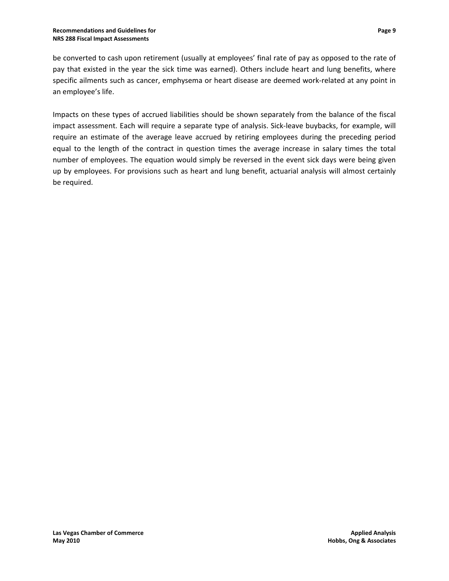be converted to cash upon retirement (usually at employees' final rate of pay as opposed to the rate of pay that existed in the year the sick time was earned). Others include heart and lung benefits, where specific ailments such as cancer, emphysema or heart disease are deemed work-related at any point in an employee's life.

Impacts on these types of accrued liabilities should be shown separately from the balance of the fiscal impact assessment. Each will require a separate type of analysis. Sick-leave buybacks, for example, will require an estimate of the average leave accrued by retiring employees during the preceding period equal to the length of the contract in question times the average increase in salary times the total number of employees. The equation would simply be reversed in the event sick days were being given up by employees. For provisions such as heart and lung benefit, actuarial analysis will almost certainly be required.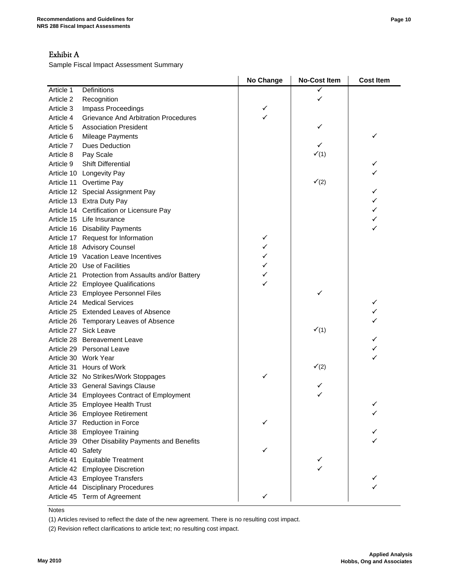### Exhibit A

Sample Fiscal Impact Assessment Summary

| Article 1<br>Definitions<br>✓<br>Article 2<br>Recognition<br>Article 3<br>Impass Proceedings<br>✓<br><b>Grievance And Arbitration Procedures</b><br>✓<br>Article 4<br>Article 5<br><b>Association President</b><br>✓<br>✓<br>Article 6<br><b>Mileage Payments</b><br>✓<br><b>Dues Deduction</b><br>Article 7<br>V(1)<br>Pay Scale<br>Article 8<br>✓<br><b>Shift Differential</b><br>Article 9<br>✓<br>Article 10 Longevity Pay<br>$\checkmark$ (2)<br>Article 11 Overtime Pay<br>Article 12 Special Assignment Pay<br>✓<br>✓<br>Article 13 Extra Duty Pay<br>Article 14 Certification or Licensure Pay<br>✓<br>Article 15 Life Insurance<br>✓<br>✓<br>Article 16 Disability Payments<br>✓<br>Article 17 Request for Information<br>✓<br>Article 18 Advisory Counsel<br>✓<br>Article 19 Vacation Leave Incentives<br>✓<br>Article 20 Use of Facilities<br>✓<br>Article 21 Protection from Assaults and/or Battery<br>✓<br>Article 22 Employee Qualifications<br>Article 23 Employee Personnel Files<br>✓<br>Article 24 Medical Services<br>✓<br>Article 25 Extended Leaves of Absence<br>✓<br>✓<br>Article 26 Temporary Leaves of Absence<br>$\checkmark$ (1)<br>Article 27 Sick Leave<br>✓<br>Article 28 Bereavement Leave<br>✓<br>Article 29 Personal Leave<br>✓<br>Article 30 Work Year<br>$\checkmark$ (2)<br>Article 31 Hours of Work<br>Article 32 No Strikes/Work Stoppages<br>Article 33 General Savings Clause<br>✓<br>Article 34 Employees Contract of Employment<br>✓<br>Article 35 Employee Health Trust<br>✓<br>Article 36 Employee Retirement<br>Article 37 Reduction in Force<br>Article 38 Employee Training<br>Article 39 Other Disability Payments and Benefits<br>Article 40 Safety<br>Article 41<br><b>Equitable Treatment</b><br>Article 42 Employee Discretion<br>Article 43 Employee Transfers<br><b>Disciplinary Procedures</b><br>Article 44 |  | No Change | <b>No-Cost Item</b> | <b>Cost Item</b> |
|----------------------------------------------------------------------------------------------------------------------------------------------------------------------------------------------------------------------------------------------------------------------------------------------------------------------------------------------------------------------------------------------------------------------------------------------------------------------------------------------------------------------------------------------------------------------------------------------------------------------------------------------------------------------------------------------------------------------------------------------------------------------------------------------------------------------------------------------------------------------------------------------------------------------------------------------------------------------------------------------------------------------------------------------------------------------------------------------------------------------------------------------------------------------------------------------------------------------------------------------------------------------------------------------------------------------------------------------------------------------------------------------------------------------------------------------------------------------------------------------------------------------------------------------------------------------------------------------------------------------------------------------------------------------------------------------------------------------------------------------------------------------------------------------------------------------------------------------------------------------|--|-----------|---------------------|------------------|
|                                                                                                                                                                                                                                                                                                                                                                                                                                                                                                                                                                                                                                                                                                                                                                                                                                                                                                                                                                                                                                                                                                                                                                                                                                                                                                                                                                                                                                                                                                                                                                                                                                                                                                                                                                                                                                                                      |  |           |                     |                  |
|                                                                                                                                                                                                                                                                                                                                                                                                                                                                                                                                                                                                                                                                                                                                                                                                                                                                                                                                                                                                                                                                                                                                                                                                                                                                                                                                                                                                                                                                                                                                                                                                                                                                                                                                                                                                                                                                      |  |           |                     |                  |
|                                                                                                                                                                                                                                                                                                                                                                                                                                                                                                                                                                                                                                                                                                                                                                                                                                                                                                                                                                                                                                                                                                                                                                                                                                                                                                                                                                                                                                                                                                                                                                                                                                                                                                                                                                                                                                                                      |  |           |                     |                  |
|                                                                                                                                                                                                                                                                                                                                                                                                                                                                                                                                                                                                                                                                                                                                                                                                                                                                                                                                                                                                                                                                                                                                                                                                                                                                                                                                                                                                                                                                                                                                                                                                                                                                                                                                                                                                                                                                      |  |           |                     |                  |
|                                                                                                                                                                                                                                                                                                                                                                                                                                                                                                                                                                                                                                                                                                                                                                                                                                                                                                                                                                                                                                                                                                                                                                                                                                                                                                                                                                                                                                                                                                                                                                                                                                                                                                                                                                                                                                                                      |  |           |                     |                  |
|                                                                                                                                                                                                                                                                                                                                                                                                                                                                                                                                                                                                                                                                                                                                                                                                                                                                                                                                                                                                                                                                                                                                                                                                                                                                                                                                                                                                                                                                                                                                                                                                                                                                                                                                                                                                                                                                      |  |           |                     |                  |
|                                                                                                                                                                                                                                                                                                                                                                                                                                                                                                                                                                                                                                                                                                                                                                                                                                                                                                                                                                                                                                                                                                                                                                                                                                                                                                                                                                                                                                                                                                                                                                                                                                                                                                                                                                                                                                                                      |  |           |                     |                  |
|                                                                                                                                                                                                                                                                                                                                                                                                                                                                                                                                                                                                                                                                                                                                                                                                                                                                                                                                                                                                                                                                                                                                                                                                                                                                                                                                                                                                                                                                                                                                                                                                                                                                                                                                                                                                                                                                      |  |           |                     |                  |
|                                                                                                                                                                                                                                                                                                                                                                                                                                                                                                                                                                                                                                                                                                                                                                                                                                                                                                                                                                                                                                                                                                                                                                                                                                                                                                                                                                                                                                                                                                                                                                                                                                                                                                                                                                                                                                                                      |  |           |                     |                  |
|                                                                                                                                                                                                                                                                                                                                                                                                                                                                                                                                                                                                                                                                                                                                                                                                                                                                                                                                                                                                                                                                                                                                                                                                                                                                                                                                                                                                                                                                                                                                                                                                                                                                                                                                                                                                                                                                      |  |           |                     |                  |
|                                                                                                                                                                                                                                                                                                                                                                                                                                                                                                                                                                                                                                                                                                                                                                                                                                                                                                                                                                                                                                                                                                                                                                                                                                                                                                                                                                                                                                                                                                                                                                                                                                                                                                                                                                                                                                                                      |  |           |                     |                  |
|                                                                                                                                                                                                                                                                                                                                                                                                                                                                                                                                                                                                                                                                                                                                                                                                                                                                                                                                                                                                                                                                                                                                                                                                                                                                                                                                                                                                                                                                                                                                                                                                                                                                                                                                                                                                                                                                      |  |           |                     |                  |
|                                                                                                                                                                                                                                                                                                                                                                                                                                                                                                                                                                                                                                                                                                                                                                                                                                                                                                                                                                                                                                                                                                                                                                                                                                                                                                                                                                                                                                                                                                                                                                                                                                                                                                                                                                                                                                                                      |  |           |                     |                  |
|                                                                                                                                                                                                                                                                                                                                                                                                                                                                                                                                                                                                                                                                                                                                                                                                                                                                                                                                                                                                                                                                                                                                                                                                                                                                                                                                                                                                                                                                                                                                                                                                                                                                                                                                                                                                                                                                      |  |           |                     |                  |
|                                                                                                                                                                                                                                                                                                                                                                                                                                                                                                                                                                                                                                                                                                                                                                                                                                                                                                                                                                                                                                                                                                                                                                                                                                                                                                                                                                                                                                                                                                                                                                                                                                                                                                                                                                                                                                                                      |  |           |                     |                  |
|                                                                                                                                                                                                                                                                                                                                                                                                                                                                                                                                                                                                                                                                                                                                                                                                                                                                                                                                                                                                                                                                                                                                                                                                                                                                                                                                                                                                                                                                                                                                                                                                                                                                                                                                                                                                                                                                      |  |           |                     |                  |
|                                                                                                                                                                                                                                                                                                                                                                                                                                                                                                                                                                                                                                                                                                                                                                                                                                                                                                                                                                                                                                                                                                                                                                                                                                                                                                                                                                                                                                                                                                                                                                                                                                                                                                                                                                                                                                                                      |  |           |                     |                  |
|                                                                                                                                                                                                                                                                                                                                                                                                                                                                                                                                                                                                                                                                                                                                                                                                                                                                                                                                                                                                                                                                                                                                                                                                                                                                                                                                                                                                                                                                                                                                                                                                                                                                                                                                                                                                                                                                      |  |           |                     |                  |
|                                                                                                                                                                                                                                                                                                                                                                                                                                                                                                                                                                                                                                                                                                                                                                                                                                                                                                                                                                                                                                                                                                                                                                                                                                                                                                                                                                                                                                                                                                                                                                                                                                                                                                                                                                                                                                                                      |  |           |                     |                  |
|                                                                                                                                                                                                                                                                                                                                                                                                                                                                                                                                                                                                                                                                                                                                                                                                                                                                                                                                                                                                                                                                                                                                                                                                                                                                                                                                                                                                                                                                                                                                                                                                                                                                                                                                                                                                                                                                      |  |           |                     |                  |
|                                                                                                                                                                                                                                                                                                                                                                                                                                                                                                                                                                                                                                                                                                                                                                                                                                                                                                                                                                                                                                                                                                                                                                                                                                                                                                                                                                                                                                                                                                                                                                                                                                                                                                                                                                                                                                                                      |  |           |                     |                  |
|                                                                                                                                                                                                                                                                                                                                                                                                                                                                                                                                                                                                                                                                                                                                                                                                                                                                                                                                                                                                                                                                                                                                                                                                                                                                                                                                                                                                                                                                                                                                                                                                                                                                                                                                                                                                                                                                      |  |           |                     |                  |
|                                                                                                                                                                                                                                                                                                                                                                                                                                                                                                                                                                                                                                                                                                                                                                                                                                                                                                                                                                                                                                                                                                                                                                                                                                                                                                                                                                                                                                                                                                                                                                                                                                                                                                                                                                                                                                                                      |  |           |                     |                  |
|                                                                                                                                                                                                                                                                                                                                                                                                                                                                                                                                                                                                                                                                                                                                                                                                                                                                                                                                                                                                                                                                                                                                                                                                                                                                                                                                                                                                                                                                                                                                                                                                                                                                                                                                                                                                                                                                      |  |           |                     |                  |
|                                                                                                                                                                                                                                                                                                                                                                                                                                                                                                                                                                                                                                                                                                                                                                                                                                                                                                                                                                                                                                                                                                                                                                                                                                                                                                                                                                                                                                                                                                                                                                                                                                                                                                                                                                                                                                                                      |  |           |                     |                  |
|                                                                                                                                                                                                                                                                                                                                                                                                                                                                                                                                                                                                                                                                                                                                                                                                                                                                                                                                                                                                                                                                                                                                                                                                                                                                                                                                                                                                                                                                                                                                                                                                                                                                                                                                                                                                                                                                      |  |           |                     |                  |
|                                                                                                                                                                                                                                                                                                                                                                                                                                                                                                                                                                                                                                                                                                                                                                                                                                                                                                                                                                                                                                                                                                                                                                                                                                                                                                                                                                                                                                                                                                                                                                                                                                                                                                                                                                                                                                                                      |  |           |                     |                  |
|                                                                                                                                                                                                                                                                                                                                                                                                                                                                                                                                                                                                                                                                                                                                                                                                                                                                                                                                                                                                                                                                                                                                                                                                                                                                                                                                                                                                                                                                                                                                                                                                                                                                                                                                                                                                                                                                      |  |           |                     |                  |
|                                                                                                                                                                                                                                                                                                                                                                                                                                                                                                                                                                                                                                                                                                                                                                                                                                                                                                                                                                                                                                                                                                                                                                                                                                                                                                                                                                                                                                                                                                                                                                                                                                                                                                                                                                                                                                                                      |  |           |                     |                  |
|                                                                                                                                                                                                                                                                                                                                                                                                                                                                                                                                                                                                                                                                                                                                                                                                                                                                                                                                                                                                                                                                                                                                                                                                                                                                                                                                                                                                                                                                                                                                                                                                                                                                                                                                                                                                                                                                      |  |           |                     |                  |
|                                                                                                                                                                                                                                                                                                                                                                                                                                                                                                                                                                                                                                                                                                                                                                                                                                                                                                                                                                                                                                                                                                                                                                                                                                                                                                                                                                                                                                                                                                                                                                                                                                                                                                                                                                                                                                                                      |  |           |                     |                  |
|                                                                                                                                                                                                                                                                                                                                                                                                                                                                                                                                                                                                                                                                                                                                                                                                                                                                                                                                                                                                                                                                                                                                                                                                                                                                                                                                                                                                                                                                                                                                                                                                                                                                                                                                                                                                                                                                      |  |           |                     |                  |
|                                                                                                                                                                                                                                                                                                                                                                                                                                                                                                                                                                                                                                                                                                                                                                                                                                                                                                                                                                                                                                                                                                                                                                                                                                                                                                                                                                                                                                                                                                                                                                                                                                                                                                                                                                                                                                                                      |  |           |                     |                  |
|                                                                                                                                                                                                                                                                                                                                                                                                                                                                                                                                                                                                                                                                                                                                                                                                                                                                                                                                                                                                                                                                                                                                                                                                                                                                                                                                                                                                                                                                                                                                                                                                                                                                                                                                                                                                                                                                      |  |           |                     |                  |
|                                                                                                                                                                                                                                                                                                                                                                                                                                                                                                                                                                                                                                                                                                                                                                                                                                                                                                                                                                                                                                                                                                                                                                                                                                                                                                                                                                                                                                                                                                                                                                                                                                                                                                                                                                                                                                                                      |  |           |                     |                  |
|                                                                                                                                                                                                                                                                                                                                                                                                                                                                                                                                                                                                                                                                                                                                                                                                                                                                                                                                                                                                                                                                                                                                                                                                                                                                                                                                                                                                                                                                                                                                                                                                                                                                                                                                                                                                                                                                      |  |           |                     |                  |
|                                                                                                                                                                                                                                                                                                                                                                                                                                                                                                                                                                                                                                                                                                                                                                                                                                                                                                                                                                                                                                                                                                                                                                                                                                                                                                                                                                                                                                                                                                                                                                                                                                                                                                                                                                                                                                                                      |  |           |                     |                  |
|                                                                                                                                                                                                                                                                                                                                                                                                                                                                                                                                                                                                                                                                                                                                                                                                                                                                                                                                                                                                                                                                                                                                                                                                                                                                                                                                                                                                                                                                                                                                                                                                                                                                                                                                                                                                                                                                      |  |           |                     |                  |
|                                                                                                                                                                                                                                                                                                                                                                                                                                                                                                                                                                                                                                                                                                                                                                                                                                                                                                                                                                                                                                                                                                                                                                                                                                                                                                                                                                                                                                                                                                                                                                                                                                                                                                                                                                                                                                                                      |  |           |                     |                  |
|                                                                                                                                                                                                                                                                                                                                                                                                                                                                                                                                                                                                                                                                                                                                                                                                                                                                                                                                                                                                                                                                                                                                                                                                                                                                                                                                                                                                                                                                                                                                                                                                                                                                                                                                                                                                                                                                      |  |           |                     |                  |
|                                                                                                                                                                                                                                                                                                                                                                                                                                                                                                                                                                                                                                                                                                                                                                                                                                                                                                                                                                                                                                                                                                                                                                                                                                                                                                                                                                                                                                                                                                                                                                                                                                                                                                                                                                                                                                                                      |  |           |                     |                  |
|                                                                                                                                                                                                                                                                                                                                                                                                                                                                                                                                                                                                                                                                                                                                                                                                                                                                                                                                                                                                                                                                                                                                                                                                                                                                                                                                                                                                                                                                                                                                                                                                                                                                                                                                                                                                                                                                      |  |           |                     |                  |
|                                                                                                                                                                                                                                                                                                                                                                                                                                                                                                                                                                                                                                                                                                                                                                                                                                                                                                                                                                                                                                                                                                                                                                                                                                                                                                                                                                                                                                                                                                                                                                                                                                                                                                                                                                                                                                                                      |  |           |                     |                  |
|                                                                                                                                                                                                                                                                                                                                                                                                                                                                                                                                                                                                                                                                                                                                                                                                                                                                                                                                                                                                                                                                                                                                                                                                                                                                                                                                                                                                                                                                                                                                                                                                                                                                                                                                                                                                                                                                      |  |           |                     |                  |
| Article 45 Term of Agreement<br>✓                                                                                                                                                                                                                                                                                                                                                                                                                                                                                                                                                                                                                                                                                                                                                                                                                                                                                                                                                                                                                                                                                                                                                                                                                                                                                                                                                                                                                                                                                                                                                                                                                                                                                                                                                                                                                                    |  |           |                     |                  |

**Notes** 

(1) Articles revised to reflect the date of the new agreement. There is no resulting cost impact.

(2) Revision reflect clarifications to article text; no resulting cost impact.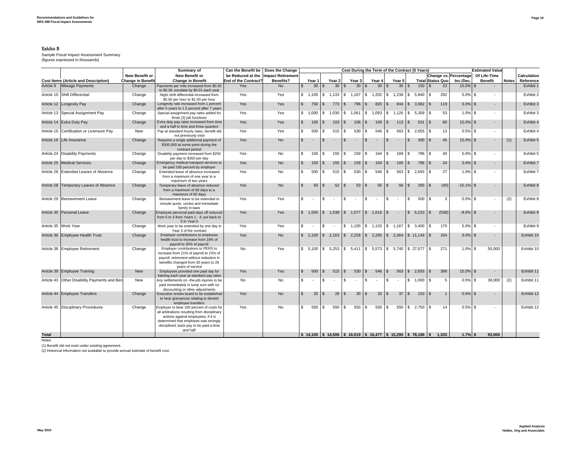#### Exhibit B

 Sample Fiscal Impact Assessment Summary (figures expressed in thousands)

|              |                                              |                          | Summary of                                                                                                                                                                                                                      | Can the Benefit be   | Does the Change<br>Cost During the Term of the Contract (5 Years) |              |                          | <b>Estimated Value</b> |                                         |              |                 |            |                                         |               |                 |                                                                                                                                        |                         |                       |            |                          |              |             |
|--------------|----------------------------------------------|--------------------------|---------------------------------------------------------------------------------------------------------------------------------------------------------------------------------------------------------------------------------|----------------------|-------------------------------------------------------------------|--------------|--------------------------|------------------------|-----------------------------------------|--------------|-----------------|------------|-----------------------------------------|---------------|-----------------|----------------------------------------------------------------------------------------------------------------------------------------|-------------------------|-----------------------|------------|--------------------------|--------------|-------------|
|              |                                              | <b>New Benefit or</b>    | <b>New Benefit or</b>                                                                                                                                                                                                           |                      | be Reduced at the Impact Retirement                               |              |                          |                        |                                         |              |                 |            |                                         |               |                 |                                                                                                                                        |                         | Change vs. Percentage |            | Of Life-Time             |              | Calculation |
|              | <b>Cost Items (Article and Description)</b>  | <b>Change in Benefit</b> | <b>Change in Benefit</b>                                                                                                                                                                                                        | End of the Contract? | Benefits?                                                         |              | Year 1                   |                        | Year 2                                  |              | Year 3          |            | Year 4                                  |               | Year 5          |                                                                                                                                        | <b>Total Status Quo</b> | Inc./Dec.             |            | <b>Benefit</b>           | <b>Notes</b> | Reference   |
| Article 9    | Mileage Payments                             | Change                   | Payments per mile increased from \$0.30<br>to \$0.36; escalate by \$0.01 each year                                                                                                                                              | Yes                  | N <sub>o</sub>                                                    | S.           | 30                       |                        | 30 <sup>2</sup>                         | \$.          | 30 <sup>8</sup> |            | 30 <sup>8</sup>                         |               | 30 <sup>2</sup> | 150<br>S.                                                                                                                              |                         | 23<br>15.0% \$        |            |                          |              | Exhibit 1   |
|              | Article 10 Shift Differential                | Change                   | Night shift differential increased from<br>\$0.50 per hour to \$1.00 per hour                                                                                                                                                   | Yes                  | Yes                                                               | \$ 1,100     |                          |                        | $\frac{1}{2}$ 5 1,133 \$ 1,167 \$ 1,202 |              |                 |            |                                         |               |                 | $$1,238$ $$5,840$                                                                                                                      | 1\$                     | 292<br>$5.0\%$ \$     |            | ٠                        |              | Exhibit 2   |
|              | Article 12 Longevity Pay                     | Change                   | Longevity rate increased from 1 percent<br>after 5 years to 1.5 percent after 7 years                                                                                                                                           | Yes                  | Yes                                                               | $\mathbb{S}$ | 750                      | $\sqrt{S}$             | 773                                     | $\sqrt{s}$   | 796 \$          |            | 820                                     | $\sqrt{S}$    |                 | $844 \mid$ \$ 3,982   \$                                                                                                               |                         | 119<br>$3.0\%$ \$     |            | $\overline{\phantom{0}}$ |              | Exhibit 3   |
|              | Article 13 Special Assignment Pay            | Change                   | Special assignment pay rates added for<br>three (3) job functions                                                                                                                                                               | Yes                  | Yes                                                               | \$ 1,000     |                          | l \$                   |                                         |              |                 |            |                                         |               |                 | $1,030$ \$ $1,061$ \$ $1,093$ \$ $1,126$ \$ 5,309                                                                                      | l \$                    | 53<br>$1.0\%$ \$      |            | ٠                        |              | Exhibit 3   |
|              | Article 14 Extra Duty Pay                    | Change                   | Extra duty pay rates increased from time<br>and a half to time and three quarters                                                                                                                                               | Yes                  | Yes                                                               | $\mathbb{S}$ | 100                      | $\sqrt{S}$             | 103                                     | $\sqrt{3}$   | $106$ \$        |            | 109                                     | $\sqrt{3}$    | $113$ \$        | $531$ \$                                                                                                                               |                         | 80<br>15.0% \$        |            | $\overline{\phantom{a}}$ |              | Exhibit 4   |
|              | Article 15 Certification or Licensure Pay    | New                      | Pay at standard hourly rates, benefit did<br>not previously exist                                                                                                                                                               | Yes                  | Yes                                                               | s.           | 500                      | -S                     | 515                                     | \$           | 530             | <b>S</b>   | 546                                     | s.            | 563             | $$2,655$ \ \$                                                                                                                          |                         | 13<br>$0.5\%$ \$      |            | $\overline{\phantom{a}}$ |              | Exhibit 4   |
|              | Article 16 Life Insurance                    | Change                   | Requires a single additional payment of<br>\$300,000 at some point during the<br>contract period                                                                                                                                | Yes                  | <b>No</b>                                                         | $\mathbb{S}$ |                          | l \$                   | $\sim$                                  | \$           | $\sim$          | $\sqrt{3}$ | $\sim$                                  | $\sqrt{s}$    | $\sim$          | $\mathsf{s}$<br>$300$ \$                                                                                                               |                         | 45<br>$15.0\%$ \$     |            | $\overline{a}$           | (1)          | Exhibit 5   |
|              | Article 24 Disability Payments               | Change                   | Disability payment increased from \$250<br>per day to \$350 per day                                                                                                                                                             | Yes                  | No                                                                | \$           | 150S                     |                        | 155                                     | <b>S</b>     | 159 \$          |            | $164 \t$ \$                             |               | 169             | 796 \$<br>l s                                                                                                                          |                         | 40                    | $5.0\%$ \$ | ٠                        |              | Exhibit 5   |
|              | Article 25 Medical Services                  | Change                   | Emergency medical transport services to<br>be paid 100 percent by employer                                                                                                                                                      | Yes                  | <b>No</b>                                                         | $\mathbb{S}$ | 150                      | $\sqrt{3}$             | 155                                     | $\mathbb{S}$ | $159$ \ \$      |            | 164                                     | $\sqrt{s}$    | 169             | 796 \$<br>$\sqrt{s}$                                                                                                                   |                         | 24<br>$3.0\%$ \$      |            |                          |              | Exhibit 7   |
|              | Article 26 Extended Leaves of Absence        | Change                   | Extended leave of absence increased<br>from a maximum of one year to a<br>maximum of two years                                                                                                                                  | Yes                  | No                                                                | s.           | 500                      | $\mathbf{s}$           | 515                                     | l \$         | 530 \$          |            | 546                                     | $\mathbf{s}$  | 563 \$          | $2,655$ \$                                                                                                                             |                         | 27<br>$1.0\%$ \$      |            |                          |              | Exhibit 7   |
|              | Article 28 Temporary Leaves of Absence       | Change                   | Temporary leave of absence reduced<br>from a maximum of 90 days to a<br>maximum of 60 days                                                                                                                                      | Yes                  | <b>No</b>                                                         | $\mathbb{S}$ | 50                       |                        | 52                                      | $\mathbb{S}$ |                 |            | 55                                      | $\mathbb{S}$  | 56              | $\mathbb{S}$<br>265                                                                                                                    | $\sqrt{s}$              | (40)<br>$-15.1\%$ \$  |            |                          |              | Exhibit 8   |
|              | Article 29 Bereavement Leave                 | Change                   | Bereavement leave to be extended to<br>include aunts, uncles and immediate<br>family in-laws                                                                                                                                    | Yes                  | Yes                                                               | \$           | $\sim$                   |                        | $\sim$                                  | \$           | $\sim$          | \$         | $\sim$                                  | \$            | $\sim$          | 500<br>s.                                                                                                                              | l \$                    | 3                     | $0.5\%$ \$ | ٠                        | (2)          | Exhibit 8   |
|              | Article 30 Personal Leave                    | Change                   | Employee personal paid days off reduced<br>from 5 to 4 from Years 1 - 4; put back to<br>5 in Year 5                                                                                                                             | Yes                  | Yes                                                               |              |                          |                        |                                         |              |                 |            | $$1,500$ $$1,538$ $$1,577$ $$1,618$ $$$ | $\sim$ $\sim$ |                 |                                                                                                                                        |                         | (538)<br>$-8.6\%$ \$  |            |                          |              | Exhibit 9   |
|              | Article 35 Work Year                         | Change                   | Work year to be extended by one day in<br>Year 3 of the contract                                                                                                                                                                | Yes                  | Yes                                                               | \$           | $\overline{\phantom{a}}$ | \$                     |                                         |              |                 |            |                                         |               |                 | $$1,100$ $$1,133$ $$1,167$ $$3,400$ $$$                                                                                                |                         | 170                   | $5.0\%$ \$ |                          |              | Exhibit 9   |
|              | Article 36 Employee Health Trust             | Change                   | Employer contributions to employee<br>health trust to increase from 18% of<br>payroll to 20% of payroll                                                                                                                         | Yes                  | <b>No</b>                                                         |              |                          |                        |                                         |              |                 |            |                                         |               |                 | $\frac{1}{2}$ 2,100 $\frac{1}{2}$ 2,163 $\frac{1}{2}$ 2,228 $\frac{1}{2}$ 2,295 $\frac{1}{2}$ 2,364 $\frac{1}{2}$ 11,149 $\frac{1}{2}$ |                         | 334<br>$3.0\%$ \$     |            |                          |              | Exhibit 10  |
|              | Article 38 Employee Retirement               | Change                   | Employer contributions to PERS to<br>increase from 21% of payroll to 23% of<br>payroll; retirement without reduction in<br>benefits changed from 30 years to 29<br>vears of service                                             | No                   | Yes                                                               |              |                          |                        |                                         |              |                 |            |                                         |               |                 | $$5,100$ $$5,253$ $$5,411$ $$5,573$ $$5,740$ $$27,077$ $$$                                                                             |                         | 271                   | $1.0\%$ \$ | 55,000                   |              | Exhibit 10  |
|              | Article 39 Employee Training                 | <b>New</b>               | Employees provided one paid day for<br>training each year at standard pay rates                                                                                                                                                 | Yes                  | Yes                                                               | $\mathbb{S}$ | 500                      |                        | 515                                     | $\mathbb{S}$ | 530             | $\sqrt{S}$ | 546                                     | $\mathbb{S}$  | 563             | \$2,655                                                                                                                                | $\overline{\mathsf{s}}$ | 398<br>15.0% \$       |            | $\blacksquare$           |              | Exhibit 11  |
|              | Article 43 Other Disability Payments and Ben | New                      | Any settlements on -the-job injuries to be<br>paid immediately in lump sum with no<br>discounting or other adiustments                                                                                                          | No                   | No                                                                | s.           | $\sim$                   | s.                     | $\sim$                                  | \$           | $\sim$          | \$         | $\sim$                                  | \$            | $\sim$          | $$1,000$ \ \$                                                                                                                          |                         | 5<br>$0.5\%$ \$       |            | 38,000                   | (2)          | Exhibit 11  |
|              | Article 44 Employee Transfers                | Change                   | Executive review board to be established<br>to hear grievances relating to denied<br>employee transfers                                                                                                                         | Yes                  | <b>No</b>                                                         | $\mathbb{S}$ | 25                       | $\sqrt{3}$             | 28                                      | \$           | $30$ \ \$       |            | $33 \mid$ \$                            |               | 37              | $\mathsf{S}$<br>$153$ $\sqrt{5}$                                                                                                       |                         | $0.5\%$ \$            |            |                          |              | Exhibit 12  |
|              | Article 45 Disciplinary Procedures           | Change                   | Employer to bear 100 percent of costs for<br>all arbitrations resulting from disciplinary<br>actions against employees; if it is<br>determined that employee was wrongly<br>disciplined, back pay to be paid a time<br>and half | Yes                  | No                                                                | s.           | 550                      | -S                     | 550                                     | \$           | 550 \$          |            | 550                                     | \$            |                 | $550$ \ \$ 2,750 \ \$                                                                                                                  |                         | 14                    | $0.5\%$ \$ | ٠                        |              | Exhibit 12  |
| <b>Total</b> |                                              |                          |                                                                                                                                                                                                                                 |                      |                                                                   |              |                          |                        |                                         |              |                 |            |                                         |               |                 | $\vert$ \$ 14,105   \$ 14,506   \$ 16,019   \$ 16,477   \$ 15,290   \$ 78,196   \$ 1,333                                               |                         | $1.7%$ \$             |            | 93.000                   |              |             |

Notes

(1) Benefit did not exist under existing agreement. (2) Historical information not available to provide annual estimate of benefit cost.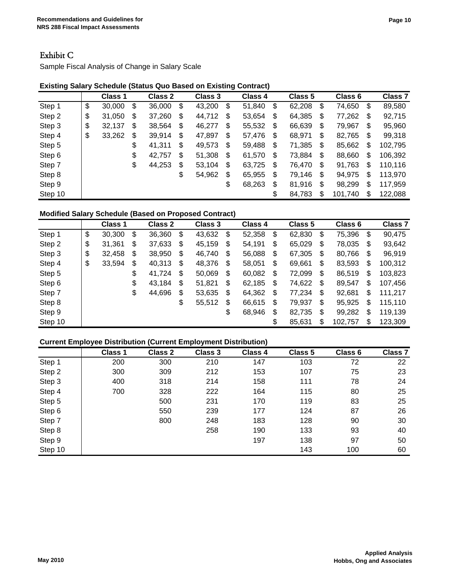## Exhibit C

Sample Fiscal Analysis of Change in Salary Scale

#### **Existing Salary Schedule (Status Quo Based on Existing Contract)**

|         | Class 1      | Class 2      | Class 3      | Class 4      | Class 5      | Class 6       |    | Class <sub>7</sub> |
|---------|--------------|--------------|--------------|--------------|--------------|---------------|----|--------------------|
| Step 1  | \$<br>30,000 | \$<br>36,000 | \$<br>43,200 | \$<br>51,840 | \$<br>62,208 | \$<br>74,650  | \$ | 89,580             |
| Step 2  | \$<br>31,050 | \$<br>37,260 | \$<br>44,712 | \$<br>53,654 | \$<br>64,385 | \$<br>77,262  | \$ | 92,715             |
| Step 3  | \$<br>32,137 | \$<br>38,564 | \$<br>46,277 | \$<br>55,532 | \$<br>66,639 | \$<br>79,967  | \$ | 95,960             |
| Step 4  | \$<br>33,262 | \$<br>39,914 | \$<br>47,897 | \$<br>57,476 | \$<br>68,971 | \$<br>82,765  | \$ | 99,318             |
| Step 5  |              | \$<br>41,311 | \$<br>49,573 | \$<br>59,488 | \$<br>71,385 | \$<br>85,662  | \$ | 102,795            |
| Step 6  |              | \$<br>42,757 | \$<br>51,308 | \$<br>61,570 | \$<br>73,884 | \$<br>88,660  | \$ | 106,392            |
| Step 7  |              | \$<br>44,253 | \$<br>53,104 | \$<br>63,725 | \$<br>76,470 | \$<br>91,763  | \$ | 110,116            |
| Step 8  |              |              | \$<br>54,962 | \$<br>65,955 | \$<br>79,146 | \$<br>94,975  | \$ | 113,970            |
| Step 9  |              |              |              | \$<br>68,263 | \$<br>81,916 | \$<br>98,299  | S  | 117,959            |
| Step 10 |              |              |              |              | \$<br>84,783 | \$<br>101,740 | S  | 122,088            |

#### **Modified Salary Schedule (Based on Proposed Contract)**

|         | Class 1      | Class 2      |     | <b>Class 3</b> |                           | Class 4 | Class 5      | Class 6       | <b>Class 7</b> |
|---------|--------------|--------------|-----|----------------|---------------------------|---------|--------------|---------------|----------------|
| Step 1  | \$<br>30,300 | \$<br>36,360 | \$  | 43,632         | \$                        | 52,358  | \$<br>62,830 | \$<br>75,396  | \$<br>90,475   |
| Step 2  | \$<br>31,361 | \$<br>37,633 | \$  | 45,159         | $\boldsymbol{\mathsf{S}}$ | 54,191  | \$<br>65,029 | \$<br>78,035  | \$<br>93,642   |
| Step 3  | \$<br>32,458 | \$<br>38,950 | \$  | 46,740         | \$                        | 56,088  | \$<br>67,305 | \$<br>80,766  | \$<br>96,919   |
| Step 4  | \$<br>33,594 | \$<br>40,313 | \$  | 48,376         | \$                        | 58,051  | \$<br>69,661 | \$<br>83,593  | \$<br>100,312  |
| Step 5  |              | \$<br>41,724 | -\$ | 50,069         | $\boldsymbol{\mathsf{S}}$ | 60,082  | \$<br>72,099 | \$<br>86,519  | \$<br>103,823  |
| Step 6  |              | \$<br>43,184 | \$  | 51,821         | \$                        | 62,185  | \$<br>74,622 | \$<br>89,547  | \$<br>107,456  |
| Step 7  |              | \$<br>44,696 | \$  | 53,635         | \$                        | 64,362  | \$<br>77,234 | \$<br>92,681  | \$<br>111,217  |
| Step 8  |              |              | \$  | 55,512         | \$                        | 66,615  | \$<br>79,937 | \$<br>95,925  | \$<br>115,110  |
| Step 9  |              |              |     |                | \$                        | 68,946  | \$<br>82,735 | \$<br>99,282  | \$<br>119,139  |
| Step 10 |              |              |     |                |                           |         | \$<br>85,631 | \$<br>102,757 | \$<br>123,309  |

#### **Current Employee Distribution (Current Employment Distribution)**

|         | Class 1 | Class 2 | <b>Class 3</b> | Class 4 | Class 5 | Class 6 | Class <sub>7</sub> |
|---------|---------|---------|----------------|---------|---------|---------|--------------------|
| Step 1  | 200     | 300     | 210            | 147     | 103     | 72      | 22                 |
| Step 2  | 300     | 309     | 212            | 153     | 107     | 75      | 23                 |
| Step 3  | 400     | 318     | 214            | 158     | 111     | 78      | 24                 |
| Step 4  | 700     | 328     | 222            | 164     | 115     | 80      | 25                 |
| Step 5  |         | 500     | 231            | 170     | 119     | 83      | 25                 |
| Step 6  |         | 550     | 239            | 177     | 124     | 87      | 26                 |
| Step 7  |         | 800     | 248            | 183     | 128     | 90      | 30                 |
| Step 8  |         |         | 258            | 190     | 133     | 93      | 40                 |
| Step 9  |         |         |                | 197     | 138     | 97      | 50                 |
| Step 10 |         |         |                |         | 143     | 100     | 60                 |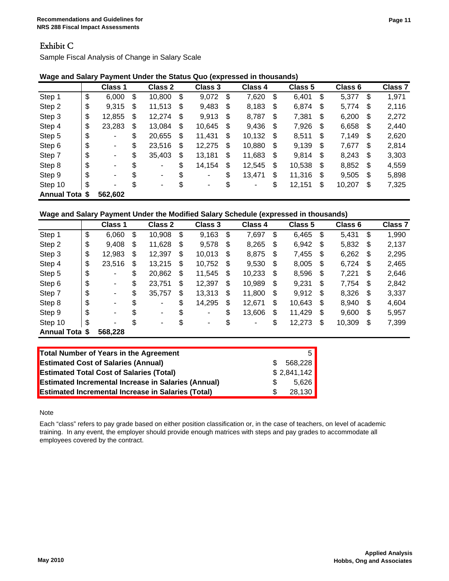### Exhibit C

Sample Fiscal Analysis of Change in Salary Scale

|                    | <b>Class 1</b>                 | Class 2      | Class 3              | Class 4      | Class 5      |    | Class 6 |     | <b>Class 7</b> |
|--------------------|--------------------------------|--------------|----------------------|--------------|--------------|----|---------|-----|----------------|
| Step 1             | \$<br>6,000                    | \$<br>10,800 | \$<br>9,072          | \$<br>7,620  | \$<br>6,401  | \$ | 5,377   | \$  | 1,971          |
| Step 2             | \$<br>9,315                    | \$<br>11,513 | \$<br>9,483          | \$<br>8,183  | \$<br>6,874  | \$ | 5,774   | \$  | 2,116          |
| Step 3             | \$<br>12,855                   | \$<br>12,274 | \$<br>9,913          | \$<br>8,787  | \$<br>7,381  | S  | 6,200   | S   | 2,272          |
| Step 4             | \$<br>23,283                   | \$<br>13,084 | \$<br>10,645         | \$<br>9,436  | \$<br>7,926  | \$ | 6,658   | \$  | 2,440          |
| Step 5             | \$<br>٠                        | \$<br>20,655 | \$<br>11,431         | \$<br>10,132 | \$<br>8,511  | \$ | 7,149   | \$  | 2,620          |
| Step 6             | \$<br>$\overline{\phantom{a}}$ | \$<br>23,516 | \$<br>12,275         | \$<br>10,880 | \$<br>9,139  | \$ | 7,677   | S.  | 2,814          |
| Step 7             | \$<br>$\overline{\phantom{a}}$ | \$<br>35,403 | \$<br>13,181         | \$<br>11,683 | \$<br>9,814  | \$ | 8,243   | \$  | 3,303          |
| Step 8             | \$<br>$\blacksquare$           | \$<br>۰      | \$<br>14,154         | \$<br>12,545 | \$<br>10,538 | \$ | 8,852   | -\$ | 4,559          |
| Step 9             | \$<br>$\blacksquare$           | \$<br>۰      | \$<br>٠              | \$<br>13,471 | \$<br>11,316 | \$ | 9,505   | \$  | 5,898          |
| Step 10            | \$<br>٠                        | \$<br>٠      | \$<br>$\blacksquare$ | \$<br>٠      | \$<br>12,151 | \$ | 10,207  | \$  | 7,325          |
| <b>Annual Tota</b> | \$<br>562,602                  |              |                      |              |              |    |         |     |                |

|  | Wage and Salary Payment Under the Status Quo (expressed in thousands) |
|--|-----------------------------------------------------------------------|
|  |                                                                       |

### **Wage and Salary Payment Under the Modified Salary Schedule (expressed in thousands)**

|                       | Class 1              | <b>Class 2</b> |     | Class 3 | Class 4      | Class 5      |      | Class 6 |     | Class <sub>7</sub> |
|-----------------------|----------------------|----------------|-----|---------|--------------|--------------|------|---------|-----|--------------------|
| Step 1                | \$<br>6,060          | \$<br>10,908   | \$  | 9,163   | \$<br>7,697  | \$<br>6,465  | \$   | 5,431   | \$  | 1,990              |
| Step 2                | \$<br>9,408          | \$<br>11,628   | -\$ | 9,578   | \$<br>8,265  | \$<br>6,942  | - \$ | 5,832   | S   | 2,137              |
| Step 3                | \$<br>12,983         | \$<br>12,397   | \$  | 10,013  | \$<br>8,875  | \$<br>7,455  | \$   | 6,262   | -\$ | 2,295              |
| Step 4                | \$<br>23,516         | \$<br>13,215   | \$  | 10,752  | \$<br>9,530  | \$<br>8,005  | \$   | 6,724   | \$  | 2,465              |
| Step 5                | \$<br>٠              | \$<br>20,862   | \$  | 11,545  | \$<br>10,233 | \$<br>8,596  | \$   | 7,221   | \$  | 2,646              |
| Step 6                | \$<br>$\blacksquare$ | \$<br>23,751   | \$  | 12,397  | \$<br>10,989 | \$<br>9,231  | S    | 7,754   | \$  | 2,842              |
| Step 7                | \$<br>-              | \$<br>35,757   | \$  | 13,313  | \$<br>11,800 | \$<br>9,912  | \$   | 8,326   | \$  | 3,337              |
| Step 8                | \$<br>-              | \$<br>٠        | \$  | 14,295  | \$<br>12,671 | \$<br>10,643 | S    | 8,940   | S   | 4,604              |
| Step 9                | \$<br>$\blacksquare$ | \$<br>$\sim$   | \$  | ۰       | \$<br>13,606 | \$<br>11,429 | S    | 9,600   | \$  | 5,957              |
| Step 10               | \$<br>۰              | \$<br>٠        | \$  | ۰       | \$<br>٠      | \$<br>12,273 | S    | 10,309  | \$  | 7,399              |
| <b>Annual Tota \$</b> | 568,228              |                |     |         |              |              |      |         |     |                    |

| Total Number of Years in the Agreement                     |     | 5.          |
|------------------------------------------------------------|-----|-------------|
|                                                            |     |             |
| <b>Estimated Cost of Salaries (Annual)</b>                 | \$. | 568.228     |
| <b>Estimated Total Cost of Salaries (Total)</b>            |     | \$2,841,142 |
| <b>Estimated Incremental Increase in Salaries (Annual)</b> | S.  | 5.626       |
| <b>Estimated Incremental Increase in Salaries (Total)</b>  | \$. | 28.130      |

Note

Each "class" refers to pay grade based on either position classification or, in the case of teachers, on level of academic training. In any event, the employer should provide enough matrices with steps and pay grades to accommodate all employees covered by the contract.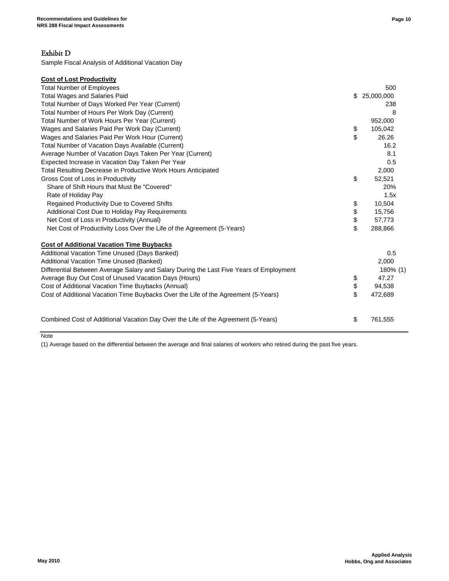### Exhibit D

Sample Fiscal Analysis of Additional Vacation Day

| <b>Cost of Lost Productivity</b>                                                        |               |
|-----------------------------------------------------------------------------------------|---------------|
| <b>Total Number of Employees</b>                                                        | 500           |
| <b>Total Wages and Salaries Paid</b>                                                    | \$25,000,000  |
| Total Number of Days Worked Per Year (Current)                                          | 238           |
| Total Number of Hours Per Work Day (Current)                                            | 8             |
| Total Number of Work Hours Per Year (Current)                                           | 952,000       |
| Wages and Salaries Paid Per Work Day (Current)                                          | \$<br>105,042 |
| Wages and Salaries Paid Per Work Hour (Current)                                         | \$<br>26.26   |
| Total Number of Vacation Days Available (Current)                                       | 16.2          |
| Average Number of Vacation Days Taken Per Year (Current)                                | 8.1           |
| Expected Increase in Vacation Day Taken Per Year                                        | 0.5           |
| Total Resulting Decrease in Productive Work Hours Anticipated                           | 2,000         |
| Gross Cost of Loss in Productivity                                                      | \$<br>52,521  |
| Share of Shift Hours that Must Be "Covered"                                             | 20%           |
| Rate of Holiday Pay                                                                     | 1.5x          |
| Regained Productivity Due to Covered Shifts                                             | \$<br>10,504  |
| Additional Cost Due to Holiday Pay Requirements                                         | \$<br>15,756  |
| Net Cost of Loss in Productivity (Annual)                                               | \$<br>57,773  |
| Net Cost of Productivity Loss Over the Life of the Agreement (5-Years)                  | \$<br>288,866 |
| <b>Cost of Additional Vacation Time Buybacks</b>                                        |               |
| Additional Vacation Time Unused (Days Banked)                                           | 0.5           |
| Additional Vacation Time Unused (Banked)                                                | 2,000         |
| Differential Between Average Salary and Salary During the Last Five Years of Employment | 180% (1)      |
| Average Buy Out Cost of Unused Vacation Days (Hours)                                    | \$<br>47.27   |
| Cost of Additional Vacation Time Buybacks (Annual)                                      | \$<br>94,538  |
| Cost of Additional Vacation Time Buybacks Over the Life of the Agreement (5-Years)      | \$<br>472,689 |
| Combined Cost of Additional Vacation Day Over the Life of the Agreement (5-Years)       | \$<br>761,555 |
|                                                                                         |               |

Note

(1) Average based on the differential between the average and final salaries of workers who retired during the past five years.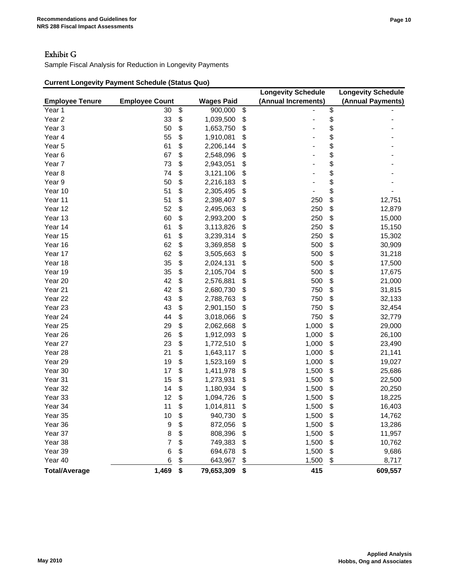# Exhibit G

Sample Fiscal Analysis for Reduction in Longevity Payments

## **Current Longevity Payment Schedule (Status Quo)**

|                        |                       |                   | <b>Longevity Schedule</b> | <b>Longevity Schedule</b> |
|------------------------|-----------------------|-------------------|---------------------------|---------------------------|
| <b>Employee Tenure</b> | <b>Employee Count</b> | <b>Wages Paid</b> | (Annual Increments)       | (Annual Payments)         |
| Year 1                 | 30                    | \$<br>900,000     | \$                        | \$                        |
| Year <sub>2</sub>      | 33                    | \$<br>1,039,500   | \$                        | \$                        |
| Year <sub>3</sub>      | 50                    | \$<br>1,653,750   | \$                        | \$                        |
| Year 4                 | 55                    | \$<br>1,910,081   | \$                        | \$                        |
| Year 5                 | 61                    | \$<br>2,206,144   | \$                        | \$                        |
| Year <sub>6</sub>      | 67                    | \$<br>2,548,096   | \$                        | \$                        |
| Year <sub>7</sub>      | 73                    | \$<br>2,943,051   | \$                        | \$                        |
| Year <sub>8</sub>      | 74                    | \$<br>3,121,106   | \$                        | \$                        |
| Year 9                 | 50                    | \$<br>2,216,183   | \$                        | \$                        |
| Year 10                | 51                    | \$<br>2,305,495   | \$                        | \$                        |
| Year 11                | 51                    | \$<br>2,398,407   | \$<br>250                 | \$<br>12,751              |
| Year 12                | 52                    | \$<br>2,495,063   | \$<br>250                 | \$<br>12,879              |
| Year 13                | 60                    | \$<br>2,993,200   | \$<br>250                 | \$<br>15,000              |
| Year 14                | 61                    | \$<br>3,113,826   | \$<br>250                 | \$<br>15,150              |
| Year 15                | 61                    | \$<br>3,239,314   | \$<br>250                 | \$<br>15,302              |
| Year 16                | 62                    | \$<br>3,369,858   | \$<br>500                 | \$<br>30,909              |
| Year 17                | 62                    | \$<br>3,505,663   | \$<br>500                 | \$<br>31,218              |
| Year 18                | 35                    | \$<br>2,024,131   | \$<br>500                 | \$<br>17,500              |
| Year 19                | 35                    | \$<br>2,105,704   | \$<br>500                 | \$<br>17,675              |
| Year 20                | 42                    | \$<br>2,576,881   | \$<br>500                 | \$<br>21,000              |
| Year 21                | 42                    | \$<br>2,680,730   | \$<br>750                 | \$<br>31,815              |
| Year 22                | 43                    | \$<br>2,788,763   | \$<br>750                 | \$<br>32,133              |
| Year 23                | 43                    | \$<br>2,901,150   | \$<br>750                 | \$<br>32,454              |
| Year 24                | 44                    | \$<br>3,018,066   | \$<br>750                 | \$<br>32,779              |
| Year 25                | 29                    | \$<br>2,062,668   | \$<br>1,000               | \$<br>29,000              |
| Year 26                | 26                    | \$<br>1,912,093   | \$<br>1,000               | \$<br>26,100              |
| Year 27                | 23                    | \$<br>1,772,510   | \$<br>1,000               | \$<br>23,490              |
| Year 28                | 21                    | \$<br>1,643,117   | \$<br>1,000               | \$<br>21,141              |
| Year 29                | 19                    | \$<br>1,523,169   | \$<br>1,000               | \$<br>19,027              |
| Year 30                | 17                    | \$<br>1,411,978   | \$<br>1,500               | \$<br>25,686              |
| Year 31                | 15                    | \$<br>1,273,931   | \$<br>1,500               | \$<br>22,500              |
| Year 32                | 14                    | \$<br>1,180,934   | \$<br>1,500               | \$<br>20,250              |
| Year 33                | 12                    | \$<br>1,094,726   | \$<br>1,500               | \$<br>18,225              |
| Year 34                | 11                    | \$<br>1,014,811   | \$<br>1,500               | \$<br>16,403              |
| Year 35                | 10                    | \$<br>940,730     | \$<br>1,500               | \$<br>14,762              |
| Year 36                | 9                     | \$<br>872,056     | \$<br>1,500               | \$<br>13,286              |
| Year 37                | 8                     | \$<br>808,396     | \$<br>1,500               | \$<br>11,957              |
| Year 38                | 7                     | \$<br>749,383     | \$<br>1,500               | \$<br>10,762              |
| Year 39                | 6                     | \$<br>694,678     | \$<br>1,500               | \$<br>9,686               |
| Year 40                | 6                     | \$<br>643,967     | \$<br>1,500               | \$<br>8,717               |
| <b>Total/Average</b>   | 1,469                 | \$<br>79,653,309  | \$<br>415                 | 609,557                   |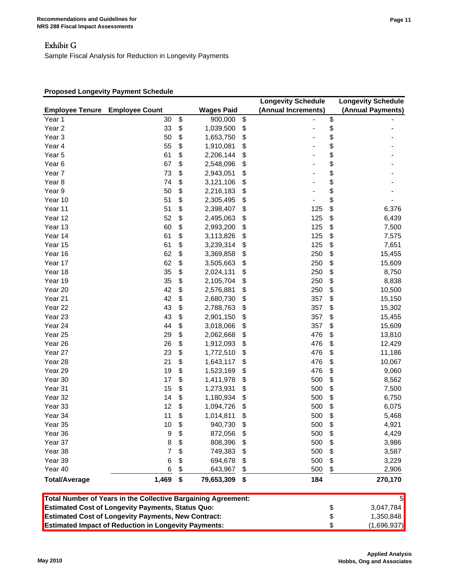### Exhibit G

Sample Fiscal Analysis for Reduction in Longevity Payments

#### **Proposed Longevity Payment Schedule**

|                        |                                                               |                   | <b>Longevity Schedule</b> | <b>Longevity Schedule</b> |
|------------------------|---------------------------------------------------------------|-------------------|---------------------------|---------------------------|
| <b>Employee Tenure</b> | <b>Employee Count</b>                                         | <b>Wages Paid</b> | (Annual Increments)       | (Annual Payments)         |
| Year 1                 | 30                                                            | \$<br>900,000     | \$                        | \$                        |
| Year <sub>2</sub>      | 33                                                            | \$<br>1,039,500   | \$                        | \$                        |
| Year <sub>3</sub>      | 50                                                            | \$<br>1,653,750   | \$                        | \$                        |
| Year 4                 | 55                                                            | \$<br>1,910,081   | \$                        | \$                        |
| Year 5                 | 61                                                            | \$<br>2,206,144   | \$                        | \$                        |
| Year <sub>6</sub>      | 67                                                            | \$<br>2,548,096   | \$                        | \$                        |
| Year <sub>7</sub>      | 73                                                            | \$<br>2,943,051   | \$                        | \$                        |
| Year <sub>8</sub>      | 74                                                            | \$<br>3,121,106   | \$                        | \$                        |
| Year 9                 | 50                                                            | \$<br>2,216,183   | \$                        | \$                        |
| Year 10                | 51                                                            | \$<br>2,305,495   | \$                        | \$                        |
| Year 11                | 51                                                            | \$<br>2,398,407   | \$<br>125                 | \$<br>6,376               |
| Year 12                | 52                                                            | \$<br>2,495,063   | \$<br>125                 | \$<br>6,439               |
| Year 13                | 60                                                            | \$<br>2,993,200   | \$<br>125                 | \$<br>7,500               |
| Year 14                | 61                                                            | \$<br>3,113,826   | \$<br>125                 | \$<br>7,575               |
| Year 15                | 61                                                            | \$<br>3,239,314   | \$<br>125                 | \$<br>7,651               |
| Year 16                | 62                                                            | \$<br>3,369,858   | \$<br>250                 | \$<br>15,455              |
| Year 17                | 62                                                            | \$<br>3,505,663   | \$<br>250                 | \$<br>15,609              |
| Year 18                | 35                                                            | \$<br>2,024,131   | \$<br>250                 | \$<br>8,750               |
| Year 19                | 35                                                            | \$<br>2,105,704   | \$<br>250                 | \$<br>8,838               |
| Year 20                | 42                                                            | \$<br>2,576,881   | \$<br>250                 | \$<br>10,500              |
| Year 21                | 42                                                            | \$<br>2,680,730   | \$<br>357                 | \$<br>15,150              |
| Year 22                | 43                                                            | \$<br>2,788,763   | \$<br>357                 | \$<br>15,302              |
| Year <sub>23</sub>     | 43                                                            | \$<br>2,901,150   | \$<br>357                 | \$<br>15,455              |
| Year 24                | 44                                                            | \$<br>3,018,066   | \$<br>357                 | \$<br>15,609              |
| Year 25                | 29                                                            | \$<br>2,062,668   | \$<br>476                 | \$<br>13,810              |
| Year 26                | 26                                                            | \$<br>1,912,093   | \$<br>476                 | \$<br>12,429              |
| Year 27                | 23                                                            |                   | 476                       |                           |
|                        |                                                               | \$<br>1,772,510   | \$                        | \$<br>11,186              |
| Year 28                | 21                                                            | \$<br>1,643,117   | \$<br>476                 | \$<br>10,067              |
| Year 29                | 19                                                            | \$<br>1,523,169   | \$<br>476                 | \$<br>9,060               |
| Year 30                | 17                                                            | \$<br>1,411,978   | \$<br>500                 | \$<br>8,562               |
| Year 31                | 15                                                            | \$<br>1,273,931   | \$<br>500                 | \$<br>7,500               |
| Year 32                | 14                                                            | \$<br>1,180,934   | \$<br>500                 | \$<br>6,750               |
| Year 33                | 12                                                            | \$<br>1,094,726   | \$<br>500                 | \$<br>6,075               |
| Year 34                | 11                                                            | \$<br>1,014,811   | \$<br>500                 | \$<br>5,468               |
| Year 35                | 10                                                            | \$<br>940,730     | \$<br>500                 | \$<br>4,921               |
| Year 36                | 9                                                             | \$<br>872,056     | \$<br>500                 | \$<br>4,429               |
| Year 37                | 8                                                             | \$<br>808,396     | \$<br>500                 | \$<br>3,986               |
| Year 38                | 7                                                             | \$<br>749,383     | \$<br>500                 | \$<br>3,587               |
| Year 39                | 6                                                             | \$<br>694,678     | \$<br>500                 | \$<br>3,229               |
| Year 40                | 6                                                             | \$<br>643,967     | 500                       | \$<br>2,906               |
| <b>Total/Average</b>   | 1,469                                                         | \$<br>79,653,309  | \$<br>184                 | 270,170                   |
|                        | Total Number of Years in the Collective Bargaining Agreement: |                   |                           | 5                         |
|                        | <b>Estimated Cost of Longevity Payments, Status Quo:</b>      |                   |                           | \$<br>3,047,784           |

**Estimated Cost of Longevity Payments, New Contract:** 4.350,848

**Estimated Impact of Reduction in Longevity Payments:** \$ (1,696,937)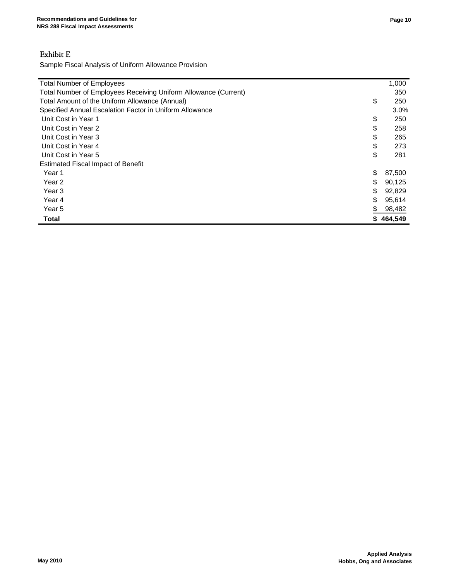# Exhibit E

Sample Fiscal Analysis of Uniform Allowance Provision

| <b>Total Number of Employees</b>                                |    | 1,000     |  |
|-----------------------------------------------------------------|----|-----------|--|
| Total Number of Employees Receiving Uniform Allowance (Current) |    |           |  |
| Total Amount of the Uniform Allowance (Annual)                  | \$ | 250       |  |
| Specified Annual Escalation Factor in Uniform Allowance         |    |           |  |
| Unit Cost in Year 1                                             | \$ | 250       |  |
| Unit Cost in Year 2                                             | \$ | 258       |  |
| Unit Cost in Year 3                                             | \$ | 265       |  |
| Unit Cost in Year 4                                             | \$ | 273       |  |
| Unit Cost in Year 5                                             | \$ | 281       |  |
| <b>Estimated Fiscal Impact of Benefit</b>                       |    |           |  |
| Year 1                                                          | \$ | 87,500    |  |
| Year 2                                                          | \$ | 90,125    |  |
| Year <sub>3</sub>                                               | \$ | 92,829    |  |
| Year 4                                                          | \$ | 95,614    |  |
| Year 5                                                          |    | 98,482    |  |
| <b>Total</b>                                                    |    | \$464,549 |  |